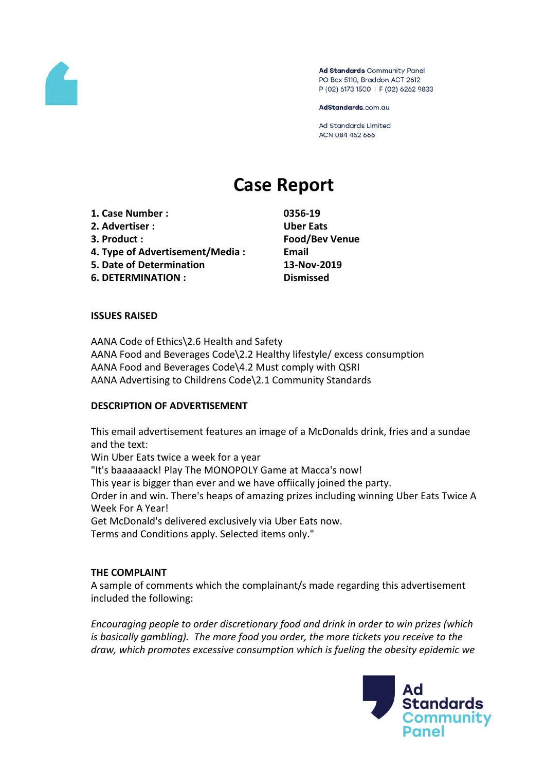

Ad Standards Community Panel PO Box 5110, Braddon ACT 2612 P (02) 6173 1500 | F (02) 6262 9833

AdStandards.com.au

Ad Standards Limited ACN 084 452 666

# **Case Report**

**1. Case Number : 0356-19 2. Advertiser : Uber Eats 3. Product : Food/Bev Venue 4. Type of Advertisement/Media : Email 5. Date of Determination 13-Nov-2019 6. DETERMINATION : Dismissed**

## **ISSUES RAISED**

AANA Code of Ethics\2.6 Health and Safety AANA Food and Beverages Code\2.2 Healthy lifestyle/ excess consumption AANA Food and Beverages Code\4.2 Must comply with QSRI AANA Advertising to Childrens Code\2.1 Community Standards

### **DESCRIPTION OF ADVERTISEMENT**

This email advertisement features an image of a McDonalds drink, fries and a sundae and the text: Win Uber Eats twice a week for a year "It's baaaaaack! Play The MONOPOLY Game at Macca's now! This year is bigger than ever and we have offiically joined the party. Order in and win. There's heaps of amazing prizes including winning Uber Eats Twice A Week For A Year! Get McDonald's delivered exclusively via Uber Eats now. Terms and Conditions apply. Selected items only."

### **THE COMPLAINT**

A sample of comments which the complainant/s made regarding this advertisement included the following:

*Encouraging people to order discretionary food and drink in order to win prizes (which is basically gambling). The more food you order, the more tickets you receive to the draw, which promotes excessive consumption which is fueling the obesity epidemic we*

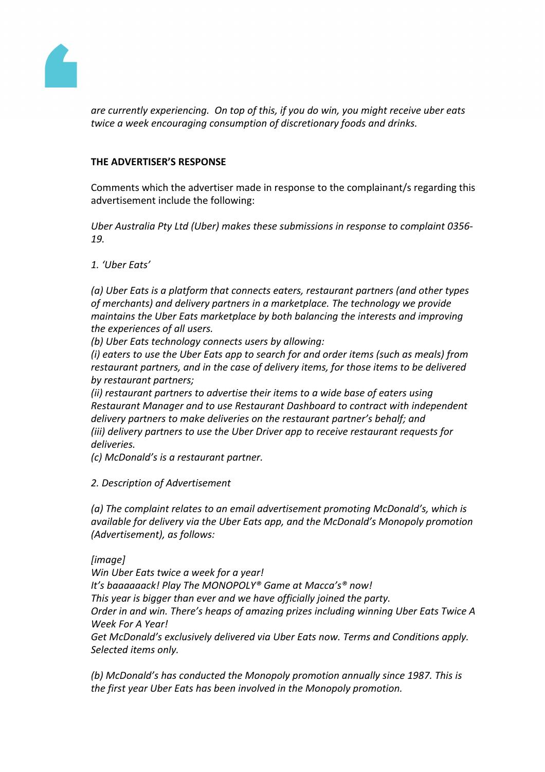

*are currently experiencing. On top of this, if you do win, you might receive uber eats twice a week encouraging consumption of discretionary foods and drinks.*

## **THE ADVERTISER'S RESPONSE**

Comments which the advertiser made in response to the complainant/s regarding this advertisement include the following:

*Uber Australia Pty Ltd (Uber) makes these submissions in response to complaint 0356- 19.*

*1. 'Uber Eats'*

*(a) Uber Eats is a platform that connects eaters, restaurant partners (and other types of merchants) and delivery partners in a marketplace. The technology we provide maintains the Uber Eats marketplace by both balancing the interests and improving the experiences of all users.*

*(b) Uber Eats technology connects users by allowing:*

*(i) eaters to use the Uber Eats app to search for and order items (such as meals) from restaurant partners, and in the case of delivery items, for those items to be delivered by restaurant partners;*

*(ii) restaurant partners to advertise their items to a wide base of eaters using Restaurant Manager and to use Restaurant Dashboard to contract with independent delivery partners to make deliveries on the restaurant partner's behalf; and (iii) delivery partners to use the Uber Driver app to receive restaurant requests for deliveries.*

*(c) McDonald's is a restaurant partner.*

*2. Description of Advertisement*

*(a) The complaint relates to an email advertisement promoting McDonald's, which is available for delivery via the Uber Eats app, and the McDonald's Monopoly promotion (Advertisement), as follows:*

# *[image]*

*Win Uber Eats twice a week for a year!*

*It's baaaaaack! Play The MONOPOLY® Game at Macca's® now!*

*This year is bigger than ever and we have officially joined the party.*

*Order in and win. There's heaps of amazing prizes including winning Uber Eats Twice A Week For A Year!*

*Get McDonald's exclusively delivered via Uber Eats now. Terms and Conditions apply. Selected items only.*

*(b) McDonald's has conducted the Monopoly promotion annually since 1987. This is the first year Uber Eats has been involved in the Monopoly promotion.*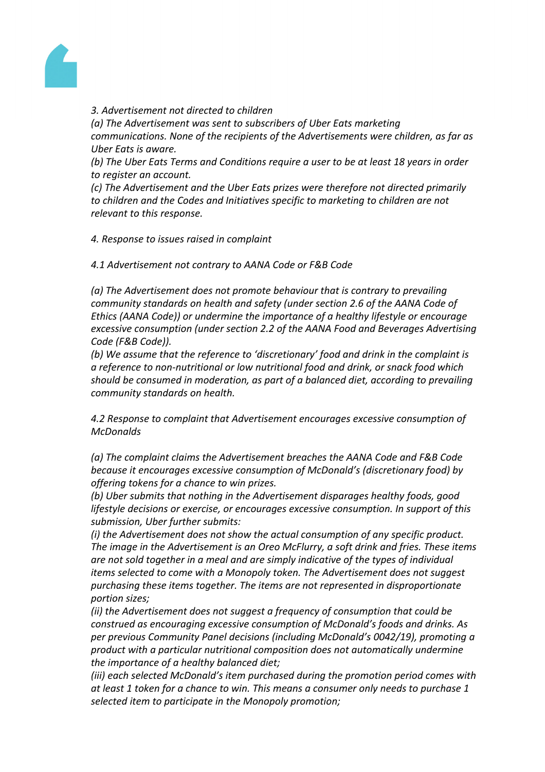

### *3. Advertisement not directed to children*

*(a) The Advertisement was sent to subscribers of Uber Eats marketing communications. None of the recipients of the Advertisements were children, as far as Uber Eats is aware.*

*(b) The Uber Eats Terms and Conditions require a user to be at least 18 years in order to register an account.*

*(c) The Advertisement and the Uber Eats prizes were therefore not directed primarily to children and the Codes and Initiatives specific to marketing to children are not relevant to this response.*

*4. Response to issues raised in complaint*

*4.1 Advertisement not contrary to AANA Code or F&B Code*

*(a) The Advertisement does not promote behaviour that is contrary to prevailing community standards on health and safety (under section 2.6 of the AANA Code of Ethics (AANA Code)) or undermine the importance of a healthy lifestyle or encourage excessive consumption (under section 2.2 of the AANA Food and Beverages Advertising Code (F&B Code)).*

*(b) We assume that the reference to 'discretionary' food and drink in the complaint is a reference to non-nutritional or low nutritional food and drink, or snack food which should be consumed in moderation, as part of a balanced diet, according to prevailing community standards on health.*

*4.2 Response to complaint that Advertisement encourages excessive consumption of McDonalds*

*(a) The complaint claims the Advertisement breaches the AANA Code and F&B Code because it encourages excessive consumption of McDonald's (discretionary food) by offering tokens for a chance to win prizes.*

*(b) Uber submits that nothing in the Advertisement disparages healthy foods, good lifestyle decisions or exercise, or encourages excessive consumption. In support of this submission, Uber further submits:*

*(i) the Advertisement does not show the actual consumption of any specific product. The image in the Advertisement is an Oreo McFlurry, a soft drink and fries. These items are not sold together in a meal and are simply indicative of the types of individual items selected to come with a Monopoly token. The Advertisement does not suggest purchasing these items together. The items are not represented in disproportionate portion sizes;*

*(ii) the Advertisement does not suggest a frequency of consumption that could be construed as encouraging excessive consumption of McDonald's foods and drinks. As per previous Community Panel decisions (including McDonald's 0042/19), promoting a product with a particular nutritional composition does not automatically undermine the importance of a healthy balanced diet;*

*(iii) each selected McDonald's item purchased during the promotion period comes with at least 1 token for a chance to win. This means a consumer only needs to purchase 1 selected item to participate in the Monopoly promotion;*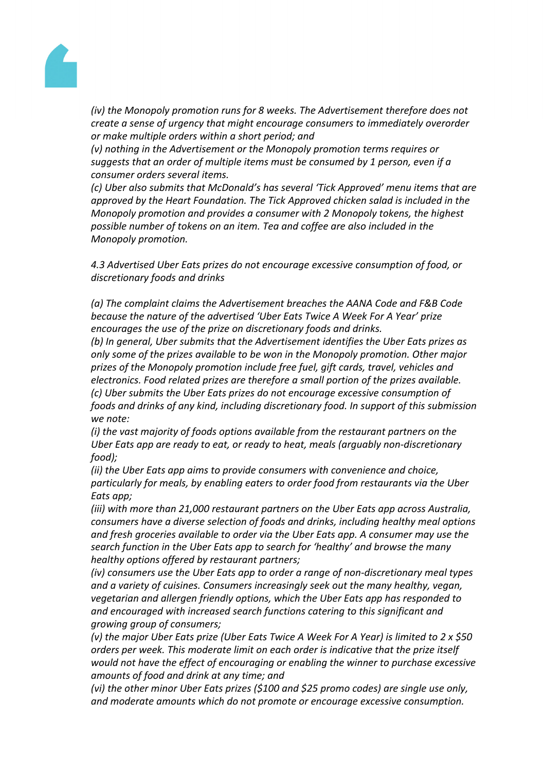

*(iv) the Monopoly promotion runs for 8 weeks. The Advertisement therefore does not create a sense of urgency that might encourage consumers to immediately overorder or make multiple orders within a short period; and*

*(v) nothing in the Advertisement or the Monopoly promotion terms requires or suggests that an order of multiple items must be consumed by 1 person, even if a consumer orders several items.*

*(c) Uber also submits that McDonald's has several 'Tick Approved' menu items that are approved by the Heart Foundation. The Tick Approved chicken salad is included in the Monopoly promotion and provides a consumer with 2 Monopoly tokens, the highest possible number of tokens on an item. Tea and coffee are also included in the Monopoly promotion.*

*4.3 Advertised Uber Eats prizes do not encourage excessive consumption of food, or discretionary foods and drinks*

*(a) The complaint claims the Advertisement breaches the AANA Code and F&B Code because the nature of the advertised 'Uber Eats Twice A Week For A Year' prize encourages the use of the prize on discretionary foods and drinks.*

*(b) In general, Uber submits that the Advertisement identifies the Uber Eats prizes as only some of the prizes available to be won in the Monopoly promotion. Other major prizes of the Monopoly promotion include free fuel, gift cards, travel, vehicles and electronics. Food related prizes are therefore a small portion of the prizes available. (c) Uber submits the Uber Eats prizes do not encourage excessive consumption of foods and drinks of any kind, including discretionary food. In support of this submission we note:*

*(i) the vast majority of foods options available from the restaurant partners on the Uber Eats app are ready to eat, or ready to heat, meals (arguably non-discretionary food);*

*(ii) the Uber Eats app aims to provide consumers with convenience and choice, particularly for meals, by enabling eaters to order food from restaurants via the Uber Eats app;*

*(iii) with more than 21,000 restaurant partners on the Uber Eats app across Australia, consumers have a diverse selection of foods and drinks, including healthy meal options and fresh groceries available to order via the Uber Eats app. A consumer may use the search function in the Uber Eats app to search for 'healthy' and browse the many healthy options offered by restaurant partners;*

*(iv) consumers use the Uber Eats app to order a range of non-discretionary meal types and a variety of cuisines. Consumers increasingly seek out the many healthy, vegan, vegetarian and allergen friendly options, which the Uber Eats app has responded to and encouraged with increased search functions catering to this significant and growing group of consumers;*

(v) the major Uber Eats prize (Uber Eats Twice A Week For A Year) is limited to 2 x \$50 *orders per week. This moderate limit on each order is indicative that the prize itself would not have the effect of encouraging or enabling the winner to purchase excessive amounts of food and drink at any time; and*

*(vi) the other minor Uber Eats prizes (\$100 and \$25 promo codes) are single use only, and moderate amounts which do not promote or encourage excessive consumption.*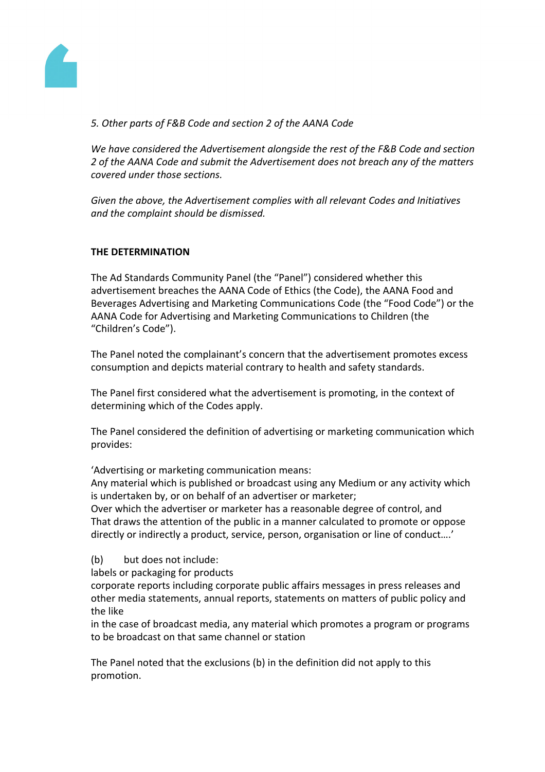

# *5. Other parts of F&B Code and section 2 of the AANA Code*

*We have considered the Advertisement alongside the rest of the F&B Code and section 2 of the AANA Code and submit the Advertisement does not breach any of the matters covered under those sections.*

*Given the above, the Advertisement complies with all relevant Codes and Initiatives and the complaint should be dismissed.*

# **THE DETERMINATION**

The Ad Standards Community Panel (the "Panel") considered whether this advertisement breaches the AANA Code of Ethics (the Code), the AANA Food and Beverages Advertising and Marketing Communications Code (the "Food Code") or the AANA Code for Advertising and Marketing Communications to Children (the "Children's Code").

The Panel noted the complainant's concern that the advertisement promotes excess consumption and depicts material contrary to health and safety standards.

The Panel first considered what the advertisement is promoting, in the context of determining which of the Codes apply.

The Panel considered the definition of advertising or marketing communication which provides:

'Advertising or marketing communication means:

Any material which is published or broadcast using any Medium or any activity which is undertaken by, or on behalf of an advertiser or marketer;

Over which the advertiser or marketer has a reasonable degree of control, and That draws the attention of the public in a manner calculated to promote or oppose directly or indirectly a product, service, person, organisation or line of conduct….'

(b) but does not include:

labels or packaging for products

corporate reports including corporate public affairs messages in press releases and other media statements, annual reports, statements on matters of public policy and the like

in the case of broadcast media, any material which promotes a program or programs to be broadcast on that same channel or station

The Panel noted that the exclusions (b) in the definition did not apply to this promotion.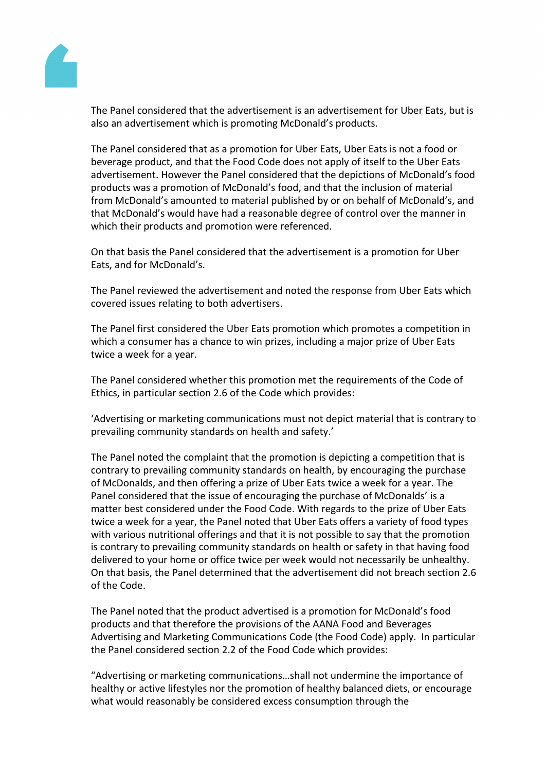

The Panel considered that the advertisement is an advertisement for Uber Eats, but is also an advertisement which is promoting McDonald's products.

The Panel considered that as a promotion for Uber Eats, Uber Eats is not a food or beverage product, and that the Food Code does not apply of itself to the Uber Eats advertisement. However the Panel considered that the depictions of McDonald's food products was a promotion of McDonald's food, and that the inclusion of material from McDonald's amounted to material published by or on behalf of McDonald's, and that McDonald's would have had a reasonable degree of control over the manner in which their products and promotion were referenced.

On that basis the Panel considered that the advertisement is a promotion for Uber Eats, and for McDonald's.

The Panel reviewed the advertisement and noted the response from Uber Eats which covered issues relating to both advertisers.

The Panel first considered the Uber Eats promotion which promotes a competition in which a consumer has a chance to win prizes, including a major prize of Uber Eats twice a week for a year.

The Panel considered whether this promotion met the requirements of the Code of Ethics, in particular section 2.6 of the Code which provides:

'Advertising or marketing communications must not depict material that is contrary to prevailing community standards on health and safety.'

The Panel noted the complaint that the promotion is depicting a competition that is contrary to prevailing community standards on health, by encouraging the purchase of McDonalds, and then offering a prize of Uber Eats twice a week for a year. The Panel considered that the issue of encouraging the purchase of McDonalds' is a matter best considered under the Food Code. With regards to the prize of Uber Eats twice a week for a year, the Panel noted that Uber Eats offers a variety of food types with various nutritional offerings and that it is not possible to say that the promotion is contrary to prevailing community standards on health or safety in that having food delivered to your home or office twice per week would not necessarily be unhealthy. On that basis, the Panel determined that the advertisement did not breach section 2.6 of the Code.

The Panel noted that the product advertised is a promotion for McDonald's food products and that therefore the provisions of the AANA Food and Beverages Advertising and Marketing Communications Code (the Food Code) apply. In particular the Panel considered section 2.2 of the Food Code which provides:

"Advertising or marketing communications…shall not undermine the importance of healthy or active lifestyles nor the promotion of healthy balanced diets, or encourage what would reasonably be considered excess consumption through the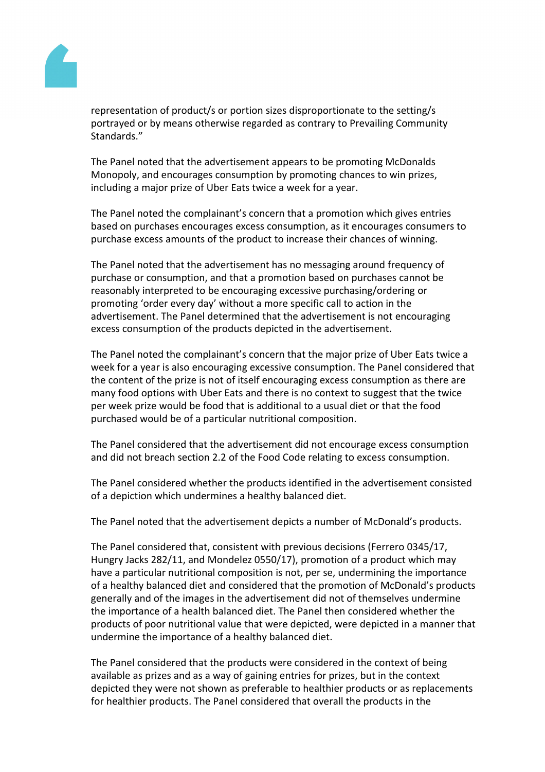

representation of product/s or portion sizes disproportionate to the setting/s portrayed or by means otherwise regarded as contrary to Prevailing Community Standards."

The Panel noted that the advertisement appears to be promoting McDonalds Monopoly, and encourages consumption by promoting chances to win prizes, including a major prize of Uber Eats twice a week for a year.

The Panel noted the complainant's concern that a promotion which gives entries based on purchases encourages excess consumption, as it encourages consumers to purchase excess amounts of the product to increase their chances of winning.

The Panel noted that the advertisement has no messaging around frequency of purchase or consumption, and that a promotion based on purchases cannot be reasonably interpreted to be encouraging excessive purchasing/ordering or promoting 'order every day' without a more specific call to action in the advertisement. The Panel determined that the advertisement is not encouraging excess consumption of the products depicted in the advertisement.

The Panel noted the complainant's concern that the major prize of Uber Eats twice a week for a year is also encouraging excessive consumption. The Panel considered that the content of the prize is not of itself encouraging excess consumption as there are many food options with Uber Eats and there is no context to suggest that the twice per week prize would be food that is additional to a usual diet or that the food purchased would be of a particular nutritional composition.

The Panel considered that the advertisement did not encourage excess consumption and did not breach section 2.2 of the Food Code relating to excess consumption.

The Panel considered whether the products identified in the advertisement consisted of a depiction which undermines a healthy balanced diet.

The Panel noted that the advertisement depicts a number of McDonald's products.

The Panel considered that, consistent with previous decisions (Ferrero 0345/17, Hungry Jacks 282/11, and Mondelez 0550/17), promotion of a product which may have a particular nutritional composition is not, per se, undermining the importance of a healthy balanced diet and considered that the promotion of McDonald's products generally and of the images in the advertisement did not of themselves undermine the importance of a health balanced diet. The Panel then considered whether the products of poor nutritional value that were depicted, were depicted in a manner that undermine the importance of a healthy balanced diet.

The Panel considered that the products were considered in the context of being available as prizes and as a way of gaining entries for prizes, but in the context depicted they were not shown as preferable to healthier products or as replacements for healthier products. The Panel considered that overall the products in the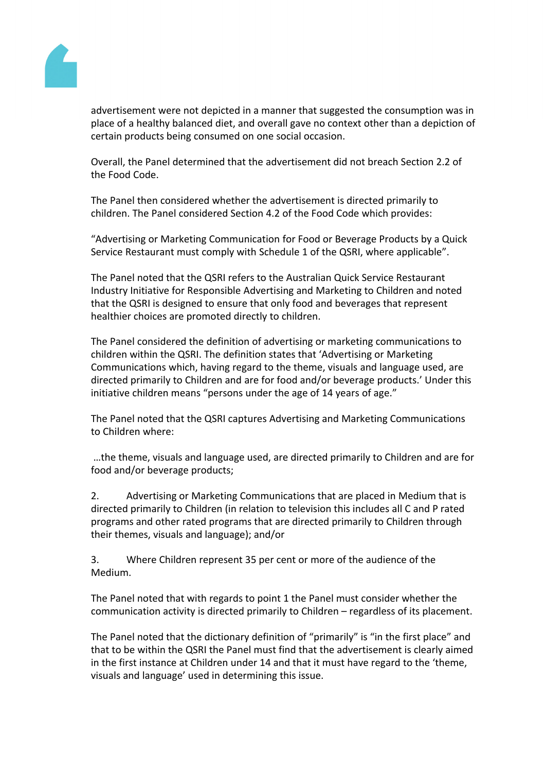

advertisement were not depicted in a manner that suggested the consumption was in place of a healthy balanced diet, and overall gave no context other than a depiction of certain products being consumed on one social occasion.

Overall, the Panel determined that the advertisement did not breach Section 2.2 of the Food Code.

The Panel then considered whether the advertisement is directed primarily to children. The Panel considered Section 4.2 of the Food Code which provides:

"Advertising or Marketing Communication for Food or Beverage Products by a Quick Service Restaurant must comply with Schedule 1 of the QSRI, where applicable".

The Panel noted that the QSRI refers to the Australian Quick Service Restaurant Industry Initiative for Responsible Advertising and Marketing to Children and noted that the QSRI is designed to ensure that only food and beverages that represent healthier choices are promoted directly to children.

The Panel considered the definition of advertising or marketing communications to children within the QSRI. The definition states that 'Advertising or Marketing Communications which, having regard to the theme, visuals and language used, are directed primarily to Children and are for food and/or beverage products.' Under this initiative children means "persons under the age of 14 years of age."

The Panel noted that the QSRI captures Advertising and Marketing Communications to Children where:

…the theme, visuals and language used, are directed primarily to Children and are for food and/or beverage products;

2. Advertising or Marketing Communications that are placed in Medium that is directed primarily to Children (in relation to television this includes all C and P rated programs and other rated programs that are directed primarily to Children through their themes, visuals and language); and/or

3. Where Children represent 35 per cent or more of the audience of the Medium.

The Panel noted that with regards to point 1 the Panel must consider whether the communication activity is directed primarily to Children – regardless of its placement.

The Panel noted that the dictionary definition of "primarily" is "in the first place" and that to be within the QSRI the Panel must find that the advertisement is clearly aimed in the first instance at Children under 14 and that it must have regard to the 'theme, visuals and language' used in determining this issue.